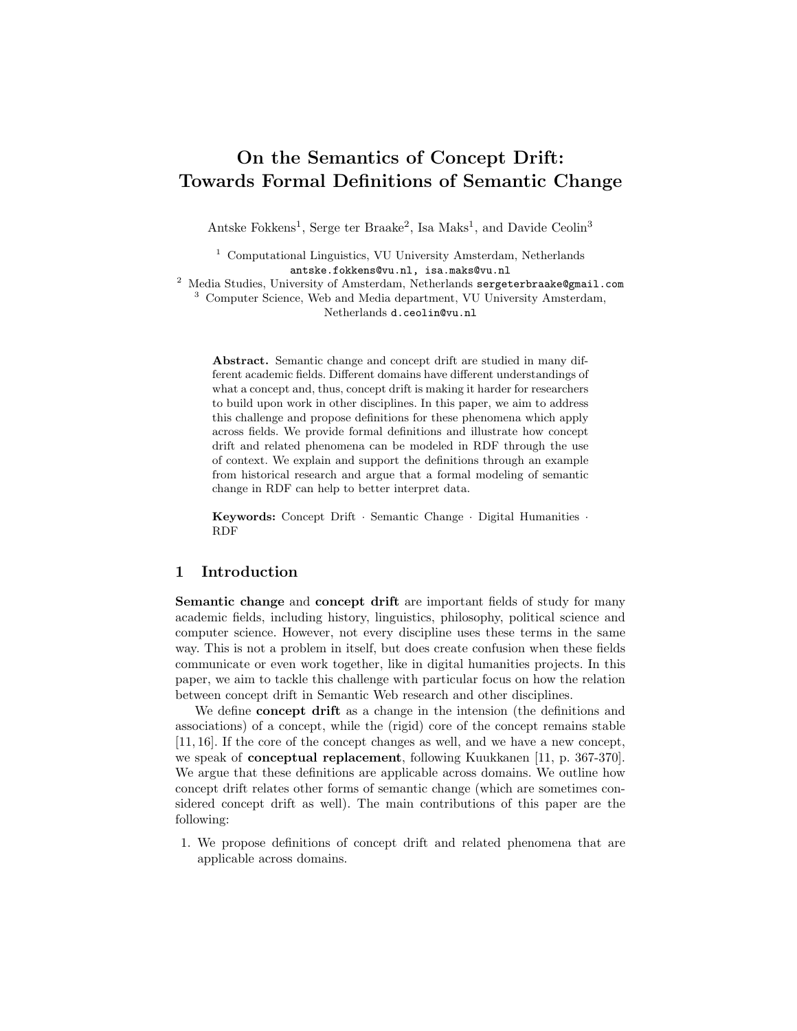# On the Semantics of Concept Drift: Towards Formal Definitions of Semantic Change

Antske Fokkens<sup>1</sup>, Serge ter Braake<sup>2</sup>, Isa Maks<sup>1</sup>, and Davide Ceolin<sup>3</sup>

 $^{\rm 1}$  Computational Linguistics, VU University Amsterdam, Netherlands antske.fokkens@vu.nl, isa.maks@vu.nl

<sup>2</sup> Media Studies, University of Amsterdam, Netherlands sergeterbraake@gmail.com <sup>3</sup> Computer Science, Web and Media department, VU University Amsterdam, Netherlands d.ceolin@vu.nl

Abstract. Semantic change and concept drift are studied in many different academic fields. Different domains have different understandings of what a concept and, thus, concept drift is making it harder for researchers to build upon work in other disciplines. In this paper, we aim to address this challenge and propose definitions for these phenomena which apply across fields. We provide formal definitions and illustrate how concept drift and related phenomena can be modeled in RDF through the use of context. We explain and support the definitions through an example from historical research and argue that a formal modeling of semantic change in RDF can help to better interpret data.

Keywords: Concept Drift · Semantic Change · Digital Humanities · RDF

## 1 Introduction

Semantic change and concept drift are important fields of study for many academic fields, including history, linguistics, philosophy, political science and computer science. However, not every discipline uses these terms in the same way. This is not a problem in itself, but does create confusion when these fields communicate or even work together, like in digital humanities projects. In this paper, we aim to tackle this challenge with particular focus on how the relation between concept drift in Semantic Web research and other disciplines.

We define **concept drift** as a change in the intension (the definitions and associations) of a concept, while the (rigid) core of the concept remains stable [11, 16]. If the core of the concept changes as well, and we have a new concept, we speak of conceptual replacement, following Kuukkanen [11, p. 367-370]. We argue that these definitions are applicable across domains. We outline how concept drift relates other forms of semantic change (which are sometimes considered concept drift as well). The main contributions of this paper are the following:

1. We propose definitions of concept drift and related phenomena that are applicable across domains.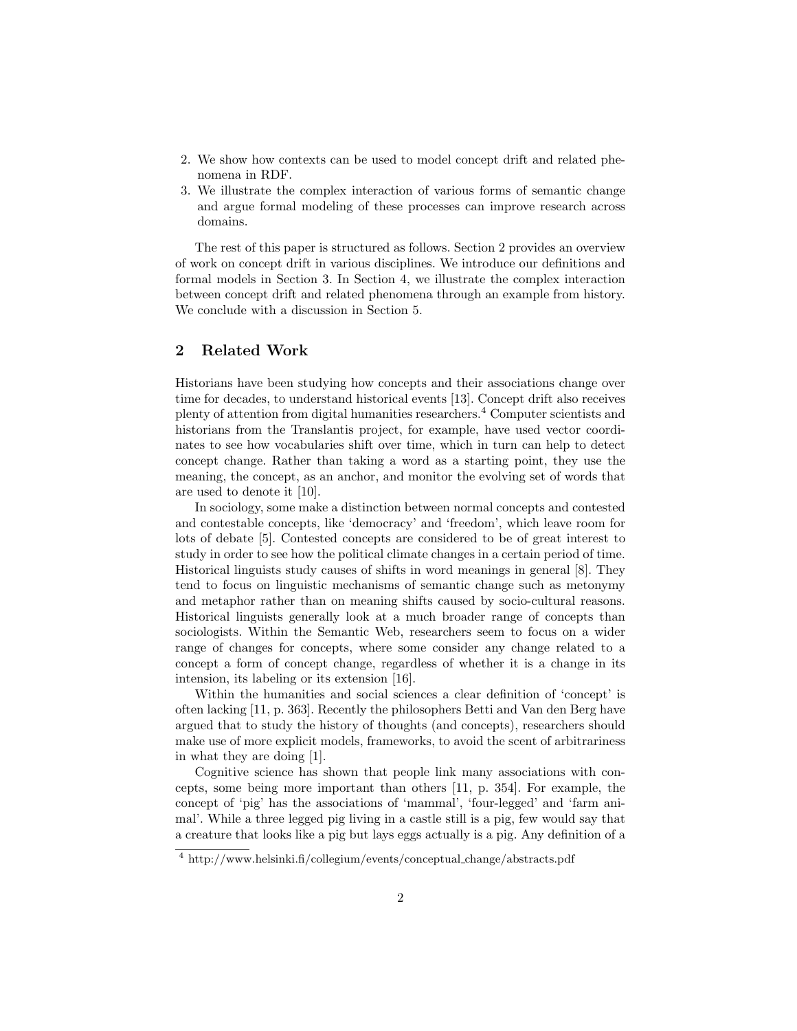- 2. We show how contexts can be used to model concept drift and related phenomena in RDF.
- 3. We illustrate the complex interaction of various forms of semantic change and argue formal modeling of these processes can improve research across domains.

The rest of this paper is structured as follows. Section 2 provides an overview of work on concept drift in various disciplines. We introduce our definitions and formal models in Section 3. In Section 4, we illustrate the complex interaction between concept drift and related phenomena through an example from history. We conclude with a discussion in Section 5.

# 2 Related Work

Historians have been studying how concepts and their associations change over time for decades, to understand historical events [13]. Concept drift also receives plenty of attention from digital humanities researchers.<sup>4</sup> Computer scientists and historians from the Translantis project, for example, have used vector coordinates to see how vocabularies shift over time, which in turn can help to detect concept change. Rather than taking a word as a starting point, they use the meaning, the concept, as an anchor, and monitor the evolving set of words that are used to denote it [10].

In sociology, some make a distinction between normal concepts and contested and contestable concepts, like 'democracy' and 'freedom', which leave room for lots of debate [5]. Contested concepts are considered to be of great interest to study in order to see how the political climate changes in a certain period of time. Historical linguists study causes of shifts in word meanings in general [8]. They tend to focus on linguistic mechanisms of semantic change such as metonymy and metaphor rather than on meaning shifts caused by socio-cultural reasons. Historical linguists generally look at a much broader range of concepts than sociologists. Within the Semantic Web, researchers seem to focus on a wider range of changes for concepts, where some consider any change related to a concept a form of concept change, regardless of whether it is a change in its intension, its labeling or its extension [16].

Within the humanities and social sciences a clear definition of 'concept' is often lacking [11, p. 363]. Recently the philosophers Betti and Van den Berg have argued that to study the history of thoughts (and concepts), researchers should make use of more explicit models, frameworks, to avoid the scent of arbitrariness in what they are doing [1].

Cognitive science has shown that people link many associations with concepts, some being more important than others [11, p. 354]. For example, the concept of 'pig' has the associations of 'mammal', 'four-legged' and 'farm animal'. While a three legged pig living in a castle still is a pig, few would say that a creature that looks like a pig but lays eggs actually is a pig. Any definition of a

<sup>4</sup> http://www.helsinki.fi/collegium/events/conceptual change/abstracts.pdf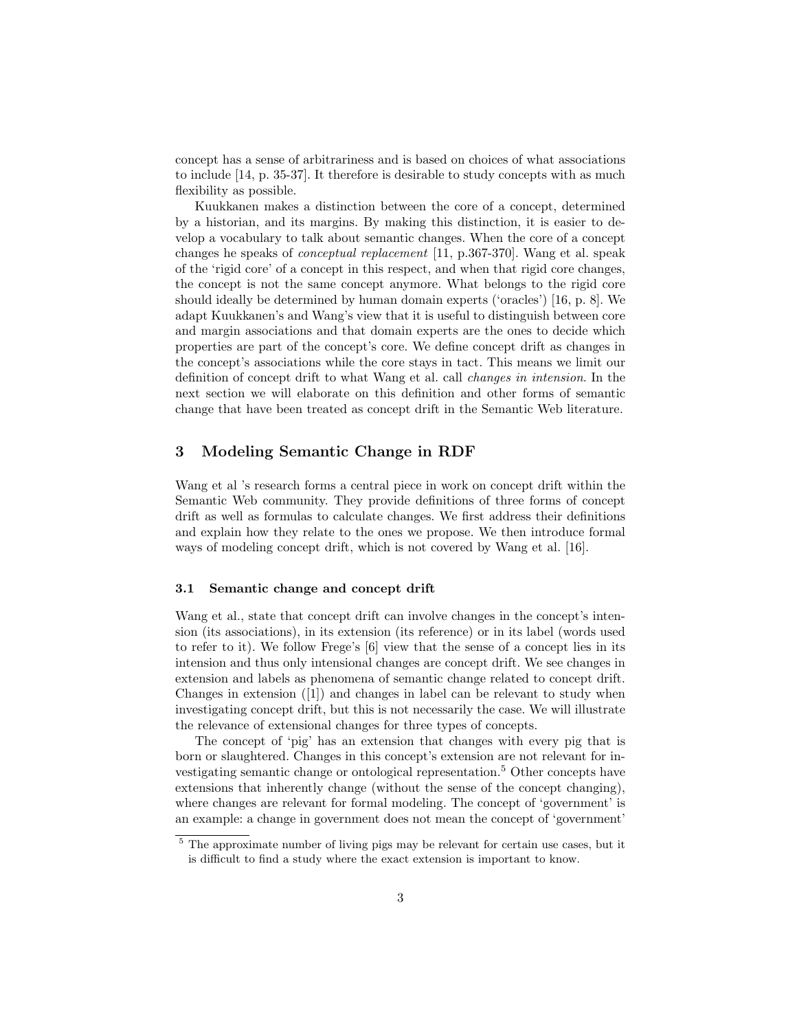concept has a sense of arbitrariness and is based on choices of what associations to include [14, p. 35-37]. It therefore is desirable to study concepts with as much flexibility as possible.

Kuukkanen makes a distinction between the core of a concept, determined by a historian, and its margins. By making this distinction, it is easier to develop a vocabulary to talk about semantic changes. When the core of a concept changes he speaks of conceptual replacement [11, p.367-370]. Wang et al. speak of the 'rigid core' of a concept in this respect, and when that rigid core changes, the concept is not the same concept anymore. What belongs to the rigid core should ideally be determined by human domain experts ('oracles') [16, p. 8]. We adapt Kuukkanen's and Wang's view that it is useful to distinguish between core and margin associations and that domain experts are the ones to decide which properties are part of the concept's core. We define concept drift as changes in the concept's associations while the core stays in tact. This means we limit our definition of concept drift to what Wang et al. call changes in intension. In the next section we will elaborate on this definition and other forms of semantic change that have been treated as concept drift in the Semantic Web literature.

## 3 Modeling Semantic Change in RDF

Wang et al 's research forms a central piece in work on concept drift within the Semantic Web community. They provide definitions of three forms of concept drift as well as formulas to calculate changes. We first address their definitions and explain how they relate to the ones we propose. We then introduce formal ways of modeling concept drift, which is not covered by Wang et al. [16].

#### 3.1 Semantic change and concept drift

Wang et al., state that concept drift can involve changes in the concept's intension (its associations), in its extension (its reference) or in its label (words used to refer to it). We follow Frege's [6] view that the sense of a concept lies in its intension and thus only intensional changes are concept drift. We see changes in extension and labels as phenomena of semantic change related to concept drift. Changes in extension  $([1])$  and changes in label can be relevant to study when investigating concept drift, but this is not necessarily the case. We will illustrate the relevance of extensional changes for three types of concepts.

The concept of 'pig' has an extension that changes with every pig that is born or slaughtered. Changes in this concept's extension are not relevant for investigating semantic change or ontological representation.<sup>5</sup> Other concepts have extensions that inherently change (without the sense of the concept changing), where changes are relevant for formal modeling. The concept of 'government' is an example: a change in government does not mean the concept of 'government'

<sup>&</sup>lt;sup>5</sup> The approximate number of living pigs may be relevant for certain use cases, but it is difficult to find a study where the exact extension is important to know.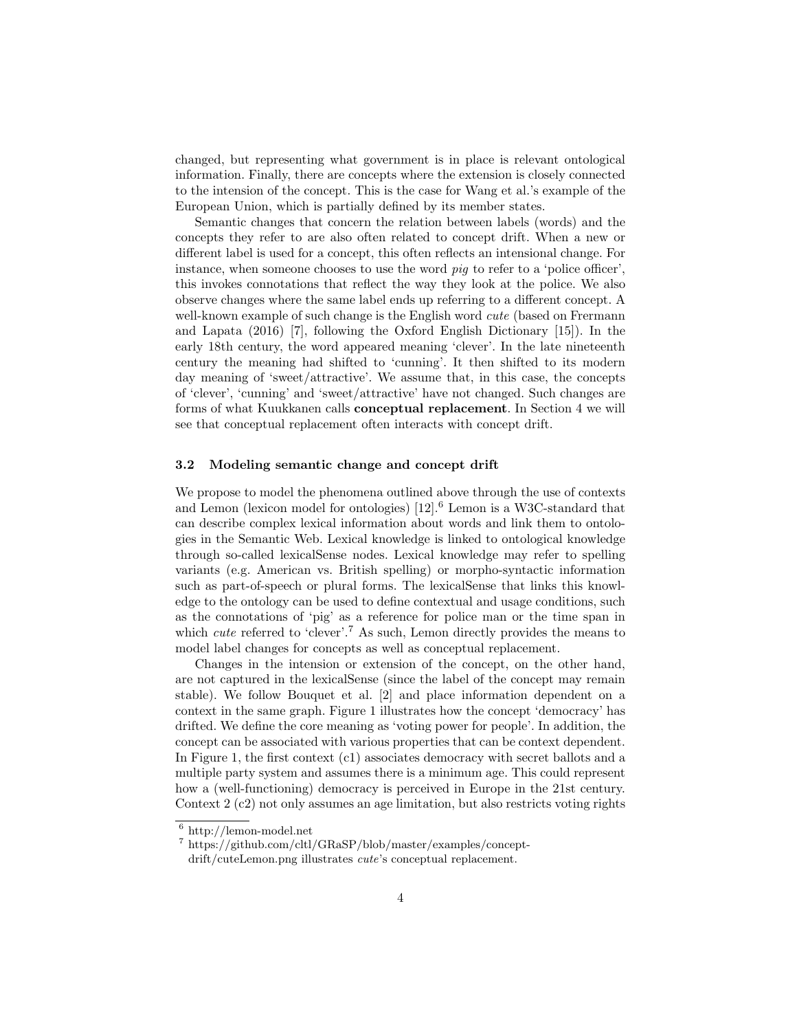changed, but representing what government is in place is relevant ontological information. Finally, there are concepts where the extension is closely connected to the intension of the concept. This is the case for Wang et al.'s example of the European Union, which is partially defined by its member states.

Semantic changes that concern the relation between labels (words) and the concepts they refer to are also often related to concept drift. When a new or different label is used for a concept, this often reflects an intensional change. For instance, when someone chooses to use the word *pig* to refer to a 'police officer'. this invokes connotations that reflect the way they look at the police. We also observe changes where the same label ends up referring to a different concept. A well-known example of such change is the English word *cute* (based on Frermann and Lapata (2016) [7], following the Oxford English Dictionary [15]). In the early 18th century, the word appeared meaning 'clever'. In the late nineteenth century the meaning had shifted to 'cunning'. It then shifted to its modern day meaning of 'sweet/attractive'. We assume that, in this case, the concepts of 'clever', 'cunning' and 'sweet/attractive' have not changed. Such changes are forms of what Kuukkanen calls conceptual replacement. In Section 4 we will see that conceptual replacement often interacts with concept drift.

#### 3.2 Modeling semantic change and concept drift

We propose to model the phenomena outlined above through the use of contexts and Lemon (lexicon model for ontologies)  $[12]$ .<sup>6</sup> Lemon is a W3C-standard that can describe complex lexical information about words and link them to ontologies in the Semantic Web. Lexical knowledge is linked to ontological knowledge through so-called lexicalSense nodes. Lexical knowledge may refer to spelling variants (e.g. American vs. British spelling) or morpho-syntactic information such as part-of-speech or plural forms. The lexicalSense that links this knowledge to the ontology can be used to define contextual and usage conditions, such as the connotations of 'pig' as a reference for police man or the time span in which *cute* referred to 'clever'.<sup>7</sup> As such, Lemon directly provides the means to model label changes for concepts as well as conceptual replacement.

Changes in the intension or extension of the concept, on the other hand, are not captured in the lexicalSense (since the label of the concept may remain stable). We follow Bouquet et al. [2] and place information dependent on a context in the same graph. Figure 1 illustrates how the concept 'democracy' has drifted. We define the core meaning as 'voting power for people'. In addition, the concept can be associated with various properties that can be context dependent. In Figure 1, the first context (c1) associates democracy with secret ballots and a multiple party system and assumes there is a minimum age. This could represent how a (well-functioning) democracy is perceived in Europe in the 21st century. Context 2 (c2) not only assumes an age limitation, but also restricts voting rights

<sup>6</sup> http://lemon-model.net

<sup>7</sup> https://github.com/cltl/GRaSP/blob/master/examples/concept-

drift/cuteLemon.png illustrates *cute*'s conceptual replacement.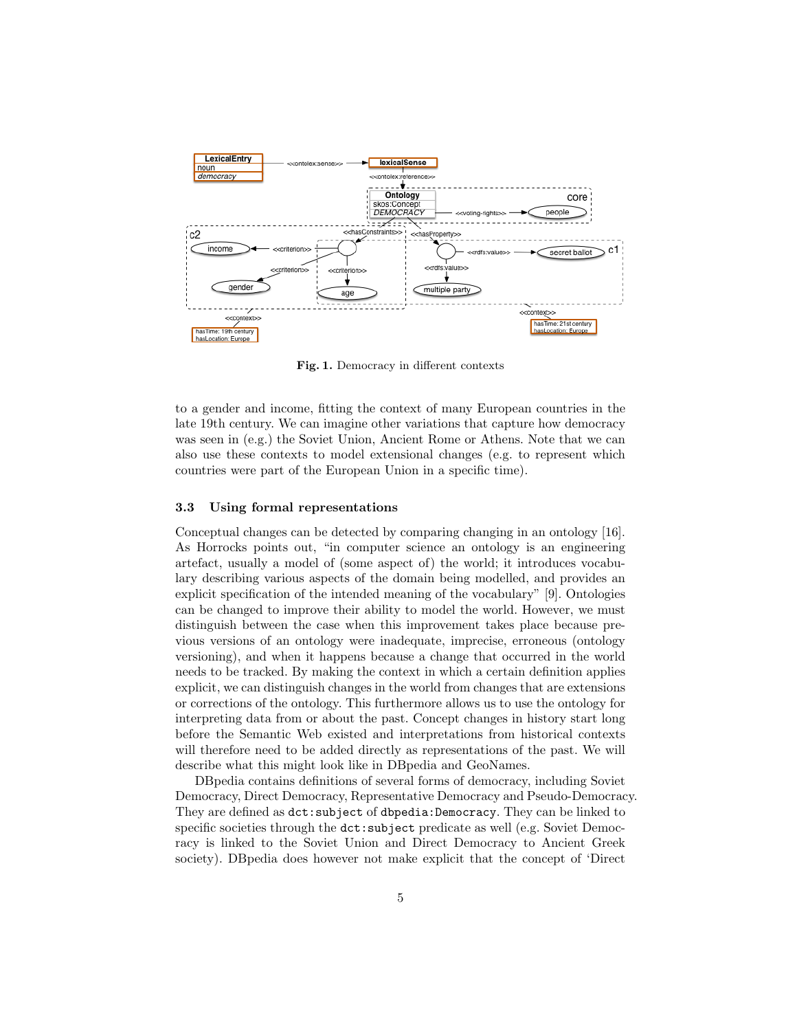

Fig. 1. Democracy in different contexts

to a gender and income, fitting the context of many European countries in the late 19th century. We can imagine other variations that capture how democracy was seen in (e.g.) the Soviet Union, Ancient Rome or Athens. Note that we can also use these contexts to model extensional changes (e.g. to represent which countries were part of the European Union in a specific time).

#### 3.3 Using formal representations

Conceptual changes can be detected by comparing changing in an ontology [16]. As Horrocks points out, "in computer science an ontology is an engineering artefact, usually a model of (some aspect of) the world; it introduces vocabulary describing various aspects of the domain being modelled, and provides an explicit specification of the intended meaning of the vocabulary" [9]. Ontologies can be changed to improve their ability to model the world. However, we must distinguish between the case when this improvement takes place because previous versions of an ontology were inadequate, imprecise, erroneous (ontology versioning), and when it happens because a change that occurred in the world needs to be tracked. By making the context in which a certain definition applies explicit, we can distinguish changes in the world from changes that are extensions or corrections of the ontology. This furthermore allows us to use the ontology for interpreting data from or about the past. Concept changes in history start long before the Semantic Web existed and interpretations from historical contexts will therefore need to be added directly as representations of the past. We will describe what this might look like in DBpedia and GeoNames.

DBpedia contains definitions of several forms of democracy, including Soviet Democracy, Direct Democracy, Representative Democracy and Pseudo-Democracy. They are defined as dct:subject of dbpedia:Democracy. They can be linked to specific societies through the  $\text{dct:subject}$  predicate as well (e.g. Soviet Democracy is linked to the Soviet Union and Direct Democracy to Ancient Greek society). DBpedia does however not make explicit that the concept of 'Direct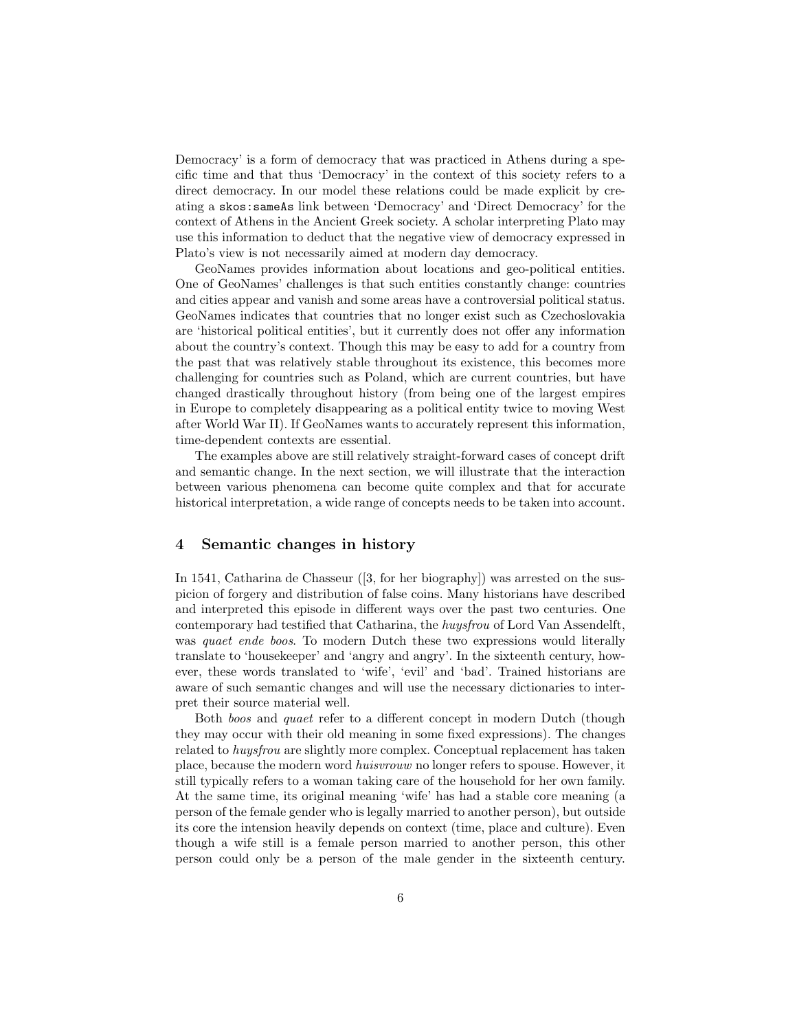Democracy' is a form of democracy that was practiced in Athens during a specific time and that thus 'Democracy' in the context of this society refers to a direct democracy. In our model these relations could be made explicit by creating a skos:sameAs link between 'Democracy' and 'Direct Democracy' for the context of Athens in the Ancient Greek society. A scholar interpreting Plato may use this information to deduct that the negative view of democracy expressed in Plato's view is not necessarily aimed at modern day democracy.

GeoNames provides information about locations and geo-political entities. One of GeoNames' challenges is that such entities constantly change: countries and cities appear and vanish and some areas have a controversial political status. GeoNames indicates that countries that no longer exist such as Czechoslovakia are 'historical political entities', but it currently does not offer any information about the country's context. Though this may be easy to add for a country from the past that was relatively stable throughout its existence, this becomes more challenging for countries such as Poland, which are current countries, but have changed drastically throughout history (from being one of the largest empires in Europe to completely disappearing as a political entity twice to moving West after World War II). If GeoNames wants to accurately represent this information, time-dependent contexts are essential.

The examples above are still relatively straight-forward cases of concept drift and semantic change. In the next section, we will illustrate that the interaction between various phenomena can become quite complex and that for accurate historical interpretation, a wide range of concepts needs to be taken into account.

## 4 Semantic changes in history

In 1541, Catharina de Chasseur ([3, for her biography]) was arrested on the suspicion of forgery and distribution of false coins. Many historians have described and interpreted this episode in different ways over the past two centuries. One contemporary had testified that Catharina, the huysfrou of Lord Van Assendelft, was quaet ende boos. To modern Dutch these two expressions would literally translate to 'housekeeper' and 'angry and angry'. In the sixteenth century, however, these words translated to 'wife', 'evil' and 'bad'. Trained historians are aware of such semantic changes and will use the necessary dictionaries to interpret their source material well.

Both boos and quaet refer to a different concept in modern Dutch (though they may occur with their old meaning in some fixed expressions). The changes related to huysfrou are slightly more complex. Conceptual replacement has taken place, because the modern word huisvrouw no longer refers to spouse. However, it still typically refers to a woman taking care of the household for her own family. At the same time, its original meaning 'wife' has had a stable core meaning (a person of the female gender who is legally married to another person), but outside its core the intension heavily depends on context (time, place and culture). Even though a wife still is a female person married to another person, this other person could only be a person of the male gender in the sixteenth century.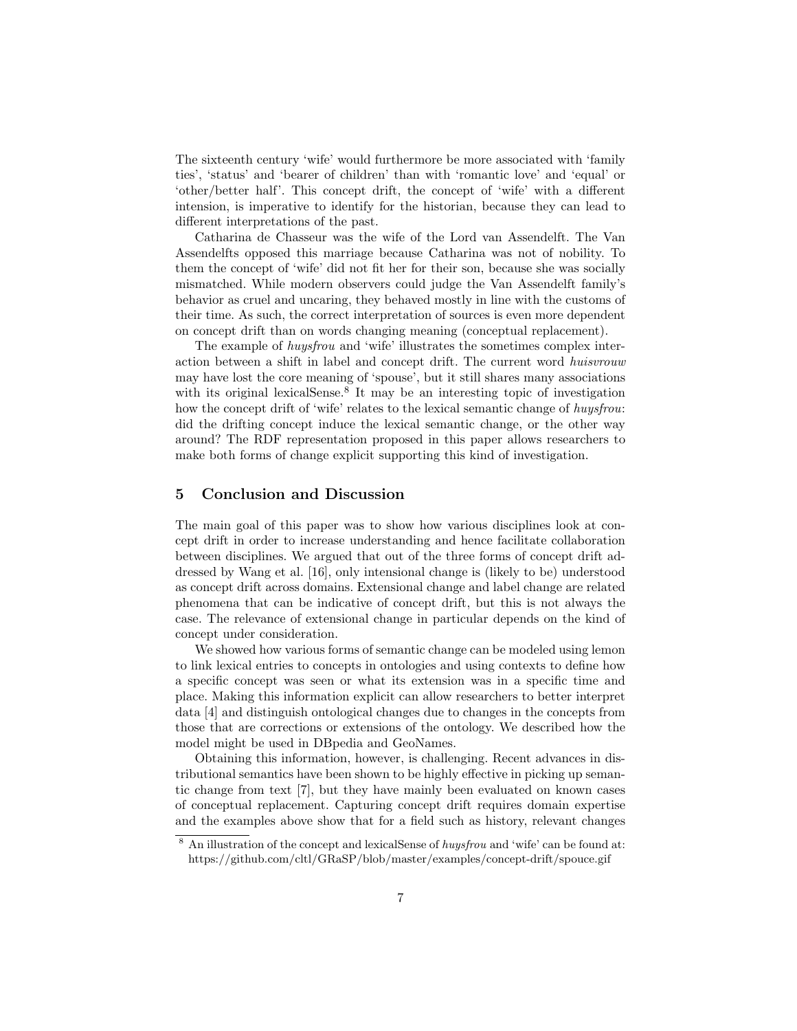The sixteenth century 'wife' would furthermore be more associated with 'family ties', 'status' and 'bearer of children' than with 'romantic love' and 'equal' or 'other/better half'. This concept drift, the concept of 'wife' with a different intension, is imperative to identify for the historian, because they can lead to different interpretations of the past.

Catharina de Chasseur was the wife of the Lord van Assendelft. The Van Assendelfts opposed this marriage because Catharina was not of nobility. To them the concept of 'wife' did not fit her for their son, because she was socially mismatched. While modern observers could judge the Van Assendelft family's behavior as cruel and uncaring, they behaved mostly in line with the customs of their time. As such, the correct interpretation of sources is even more dependent on concept drift than on words changing meaning (conceptual replacement).

The example of huysfrou and 'wife' illustrates the sometimes complex interaction between a shift in label and concept drift. The current word huisvrouw may have lost the core meaning of 'spouse', but it still shares many associations with its original lexicalSense.<sup>8</sup> It may be an interesting topic of investigation how the concept drift of 'wife' relates to the lexical semantic change of huysfrou: did the drifting concept induce the lexical semantic change, or the other way around? The RDF representation proposed in this paper allows researchers to make both forms of change explicit supporting this kind of investigation.

## 5 Conclusion and Discussion

The main goal of this paper was to show how various disciplines look at concept drift in order to increase understanding and hence facilitate collaboration between disciplines. We argued that out of the three forms of concept drift addressed by Wang et al. [16], only intensional change is (likely to be) understood as concept drift across domains. Extensional change and label change are related phenomena that can be indicative of concept drift, but this is not always the case. The relevance of extensional change in particular depends on the kind of concept under consideration.

We showed how various forms of semantic change can be modeled using lemon to link lexical entries to concepts in ontologies and using contexts to define how a specific concept was seen or what its extension was in a specific time and place. Making this information explicit can allow researchers to better interpret data [4] and distinguish ontological changes due to changes in the concepts from those that are corrections or extensions of the ontology. We described how the model might be used in DBpedia and GeoNames.

Obtaining this information, however, is challenging. Recent advances in distributional semantics have been shown to be highly effective in picking up semantic change from text [7], but they have mainly been evaluated on known cases of conceptual replacement. Capturing concept drift requires domain expertise and the examples above show that for a field such as history, relevant changes

 $8$  An illustration of the concept and lexicalSense of *huysfrou* and 'wife' can be found at: https://github.com/cltl/GRaSP/blob/master/examples/concept-drift/spouce.gif